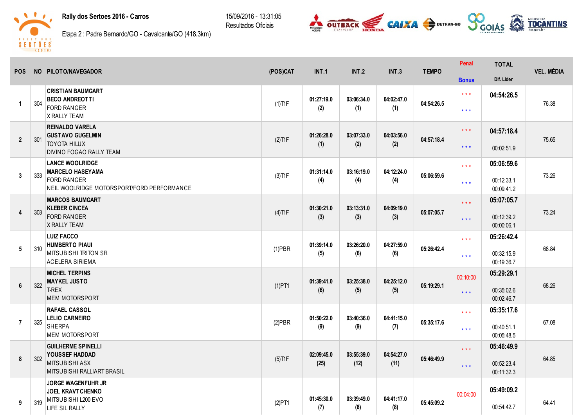## Rally dos Sertoes 2016 - Carros

15/09/2016 13:31:05 Resultados Oficiais





Etapa 2 : Padre Bernardo/GO Cavalcante/GO (418.3km)

| <b>POS</b>      |     | NO PILOTO/NAVEGADOR                                                                                                   | (POS)CAT  | INT.1              | <b>INT.2</b>       | INT.3              | <b>TEMPO</b> | Penal                                          | <b>TOTAL</b>                           | <b>VEL. MÉDIA</b> |
|-----------------|-----|-----------------------------------------------------------------------------------------------------------------------|-----------|--------------------|--------------------|--------------------|--------------|------------------------------------------------|----------------------------------------|-------------------|
|                 |     |                                                                                                                       |           |                    |                    |                    |              | <b>Bonus</b>                                   | Dif. Lider                             |                   |
| $\mathbf 1$     | 304 | <b>CRISTIAN BAUMGART</b><br><b>BECO ANDREOTTI</b><br><b>FORD RANGER</b><br><b>X RALLY TEAM</b>                        | $(1)$ T1F | 01:27:19.0<br>(2)  | 03:06:34.0<br>(1)  | 04:02:47.0<br>(1)  | 04:54:26.5   | $\star$ $\star$ $\star$<br>$***$               | 04:54:26.5                             | 76.38             |
| $\overline{2}$  | 301 | <b>REINALDO VARELA</b><br><b>GUSTAVO GUGELMIN</b><br><b>TOYOTA HILUX</b><br>DIVINO FOGAO RALLY TEAM                   | $(2)$ T1F | 01:26:28.0<br>(1)  | 03:07:33.0<br>(2)  | 04:03:56.0<br>(2)  | 04:57:18.4   | $***$<br>$\star \star \star$                   | 04:57:18.4<br>00:02:51.9               | 75.65             |
| 3               | 333 | <b>LANCE WOOLRIDGE</b><br><b>MARCELO HASEYAMA</b><br><b>FORD RANGER</b><br>NEIL WOOLRIDGE MOTORSPORT/FORD PERFORMANCE | $(3)$ T1F | 01:31:14.0<br>(4)  | 03:16:19.0<br>(4)  | 04:12:24.0<br>(4)  | 05:06:59.6   | $\star \star \star$<br>$***$                   | 05:06:59.6<br>00:12:33.1<br>00:09:41.2 | 73.26             |
| $\overline{4}$  | 303 | <b>MARCOS BAUMGART</b><br><b>KLEBER CINCEA</b><br><b>FORD RANGER</b><br><b>X RALLY TEAM</b>                           | $(4)$ T1F | 01:30:21.0<br>(3)  | 03:13:31.0<br>(3)  | 04:09:19.0<br>(3)  | 05:07:05.7   | $***$<br>$\star \star \star$                   | 05:07:05.7<br>00:12:39.2<br>00:00:06.1 | 73.24             |
| 5               | 310 | <b>LUIZ FACCO</b><br><b>HUMBERTO PIAUI</b><br><b>MITSUBISHI TRITON SR</b><br>ACELERA SIRIEMA                          | $(1)$ PBR | 01:39:14.0<br>(5)  | 03:26:20.0<br>(6)  | 04:27:59.0<br>(6)  | 05:26:42.4   | $\star \star \star$<br>$\star\star\star$       | 05:26:42.4<br>00:32:15.9<br>00:19:36.7 | 68.84             |
| $6\phantom{.}6$ | 322 | <b>MICHEL TERPINS</b><br><b>MAYKEL JUSTO</b><br>T-REX<br><b>MEM MOTORSPORT</b>                                        | $(1)$ PT1 | 01:39:41.0<br>(6)  | 03:25:38.0<br>(5)  | 04:25:12.0<br>(5)  | 05:19:29.1   | 00:10:00<br>$\star$ $\star$ $\star$            | 05:29:29.1<br>00:35:02.6<br>00:02:46.7 | 68.26             |
| $\overline{7}$  | 325 | <b>RAFAEL CASSOL</b><br><b>LELIO CARNEIRO</b><br><b>SHERPA</b><br><b>MEM MOTORSPORT</b>                               | $(2)$ PBR | 01:50:22.0<br>(9)  | 03:40:36.0<br>(9)  | 04:41:15.0<br>(7)  | 05:35:17.6   | $\star \star \star$<br>$\star\star\star$       | 05:35:17.6<br>00:40:51.1<br>00:05:48.5 | 67.08             |
| 8               | 302 | <b>GUILHERME SPINELLI</b><br><b>YOUSSEF HADDAD</b><br><b>MITSUBISHI ASX</b><br>MITSUBISHI RALLIART BRASIL             | $(5)$ T1F | 02:09:45.0<br>(25) | 03:55:39.0<br>(12) | 04:54:27.0<br>(11) | 05:46:49.9   | $\star$ $\star$ $\star$<br>$\star \star \star$ | 05:46:49.9<br>00:52:23.4<br>00:11:32.3 | 64.85             |
| 9               | 319 | <b>JORGE WAGENFUHR JR</b><br><b>JOEL KRAVTCHENKO</b><br>MITSUBISHI L200 EVO<br>LIFE SIL RALLY                         | (2)PT1    | 01:45:30.0<br>(7)  | 03:39:49.0<br>(8)  | 04:41:17.0<br>(8)  | 05:45:09.2   | 00:04:00                                       | 05:49:09.2<br>00:54:42.7               | 64.41             |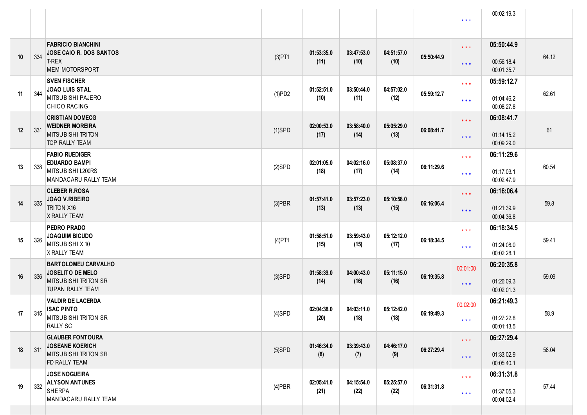|    |     |                                                                                                                 |           |                    |                    |                    |            | $\star$ $\star$ $\star$                            | 00:02:19.3                             |       |
|----|-----|-----------------------------------------------------------------------------------------------------------------|-----------|--------------------|--------------------|--------------------|------------|----------------------------------------------------|----------------------------------------|-------|
| 10 | 334 | <b>FABRICIO BIANCHINI</b><br>JOSE CAIO R. DOS SANTOS<br>T-REX<br><b>MEM MOTORSPORT</b>                          | $(3)$ PT1 | 01:53:35.0<br>(11) | 03:47:53.0<br>(10) | 04:51:57.0<br>(10) | 05:50:44.9 | $\star$ $\star$ $\star$<br>$***$                   | 05:50:44.9<br>00:56:18.4<br>00:01:35.7 | 64.12 |
| 11 | 344 | <b>SVEN FISCHER</b><br><b>JOAO LUIS STAL</b><br>MITSUBISHI PAJERO<br><b>CHICO RACING</b>                        | (1)PD2    | 01:52:51.0<br>(10) | 03:50:44.0<br>(11) | 04:57:02.0<br>(12) | 05:59:12.7 | $\star$ $\star$ $\star$<br>$***$                   | 05:59:12.7<br>01:04:46.2<br>00:08:27.8 | 62.61 |
| 12 | 331 | <b>CRISTIAN DOMECG</b><br><b>WEIDNER MOREIRA</b><br><b>MITSUBISHI TRITON</b><br>TOP RALLY TEAM                  | $(1)$ SPD | 02:00:53.0<br>(17) | 03:58:40.0<br>(14) | 05:05:29.0<br>(13) | 06:08:41.7 | $\star$ $\star$ $\star$<br>$***$                   | 06:08:41.7<br>01:14:15.2<br>00:09:29.0 | 61    |
| 13 | 338 | <b>FABIO RUEDIGER</b><br><b>EDUARDO BAMPI</b><br>MITSUBISHI L200RS<br>MANDACARU RALLY TEAM                      | $(2)$ SPD | 02:01:05.0<br>(18) | 04:02:16.0<br>(17) | 05:08:37.0<br>(14) | 06:11:29.6 | $\star$ $\star$ $\star$<br>$***$                   | 06:11:29.6<br>01:17:03.1<br>00:02:47.9 | 60.54 |
| 14 | 335 | <b>CLEBER R.ROSA</b><br><b>JOAO V.RIBEIRO</b><br><b>TRITON X16</b><br>X RALLY TEAM                              | $(3)$ PBR | 01:57:41.0<br>(13) | 03:57:23.0<br>(13) | 05:10:58.0<br>(15) | 06:16:06.4 | $\star$ $\star$ $\star$<br>$***$                   | 06:16:06.4<br>01:21:39.9<br>00:04:36.8 | 59.8  |
| 15 | 326 | <b>PEDRO PRADO</b><br><b>JOAQUIM BICUDO</b><br>MITSUBISHI X 10<br>X RALLY TEAM                                  | $(4)$ PT1 | 01:58:51.0<br>(15) | 03:59:43.0<br>(15) | 05:12:12.0<br>(17) | 06:18:34.5 | $\star$ $\star$ $\star$<br>$***$                   | 06:18:34.5<br>01:24:08.0<br>00:02:28.1 | 59.41 |
| 16 | 336 | <b>BARTOLOMEU CARVALHO</b><br><b>JOSELITO DE MELO</b><br><b>MITSUBISHI TRITON SR</b><br><b>TUPAN RALLY TEAM</b> | $(3)$ SPD | 01:58:39.0<br>(14) | 04:00:43.0<br>(16) | 05:11:15.0<br>(16) | 06:19:35.8 | 00:01:00<br>$***$                                  | 06:20:35.8<br>01:26:09.3<br>00:02:01.3 | 59.09 |
| 17 | 315 | <b>VALDIR DE LACERDA</b><br><b>ISAC PINTO</b><br>MITSUBISHI TRITON SR<br>RALLY SC                               | $(4)$ SPD | 02:04:38.0<br>(20) | 04:03:11.0<br>(18) | 05:12:42.0<br>(18) | 06:19:49.3 | 00:02:00<br>$* * *$                                | 06:21:49.3<br>01:27:22.8<br>00:01:13.5 | 58.9  |
| 18 | 311 | <b>GLAUBER FONTOURA</b><br><b>JOSEANE KOERICH</b><br><b>MITSUBISHI TRITON SR</b><br>FD RALLY TEAM               | $(5)$ SPD | 01:46:34.0<br>(8)  | 03:39:43.0<br>(7)  | 04:46:17.0<br>(9)  | 06:27:29.4 | $\star$ $\star$ $\star$<br>$***$                   | 06:27:29.4<br>01:33:02.9<br>00:05:40.1 | 58.04 |
| 19 | 332 | <b>JOSE NOGUEIRA</b><br><b>ALYSON ANTUNES</b><br><b>SHERPA</b><br>MANDACARU RALLY TEAM                          | $(4)$ PBR | 02:05:41.0<br>(21) | 04:15:54.0<br>(22) | 05:25:57.0<br>(22) | 06:31:31.8 | $\star$ $\star$ $\star$<br>$\star$ $\star$ $\star$ | 06:31:31.8<br>01:37:05.3<br>00:04:02.4 | 57.44 |
|    |     |                                                                                                                 |           |                    |                    |                    |            |                                                    |                                        |       |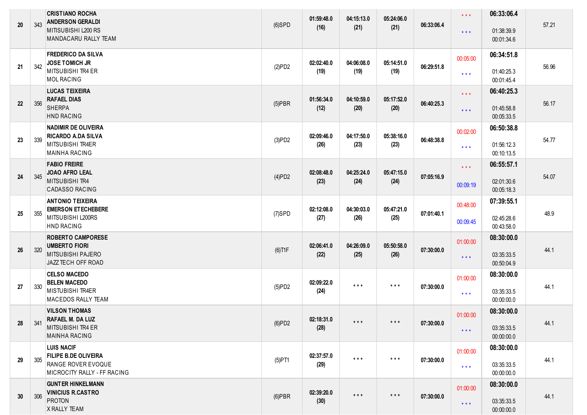| 20 | 343 | <b>CRISTIANO ROCHA</b><br><b>ANDERSON GERALDI</b><br>MITISUBISHI L200 RS<br>MANDACARU RALLY TEAM      | $(6)$ SPD | 01:59:48.0<br>(16) | 04:15:13.0<br>(21)      | 05:24:06.0<br>(21)      | 06:33:06.4 | $***$<br>$***$                      | 06:33:06.4<br>01:38:39.9<br>00:01:34.6 | 57.21 |
|----|-----|-------------------------------------------------------------------------------------------------------|-----------|--------------------|-------------------------|-------------------------|------------|-------------------------------------|----------------------------------------|-------|
| 21 | 342 | <b>FREDERICO DA SILVA</b><br><b>JOSE TOMICH JR</b><br>MITSUBISHI TR4 ER<br><b>MOL RACING</b>          | (2)PD2    | 02:02:40.0<br>(19) | 04:06:08.0<br>(19)      | 05:14:51.0<br>(19)      | 06:29:51.8 | 00:05:00<br>$\star$ $\star$ $\star$ | 06:34:51.8<br>01:40:25.3<br>00:01:45.4 | 56.96 |
| 22 | 356 | <b>LUCAS TEIXEIRA</b><br><b>RAFAEL DIAS</b><br><b>SHERPA</b><br><b>HND RACING</b>                     | $(5)$ PBR | 01:56:34.0<br>(12) | 04:10:59.0<br>(20)      | 05:17:52.0<br>(20)      | 06:40:25.3 | $\star$ $\star$ $\star$<br>$***$    | 06:40:25.3<br>01:45:58.8<br>00:05:33.5 | 56.17 |
| 23 | 339 | <b>NADIMIR DE OLIVEIRA</b><br>RICARDO A.DA SILVA<br>MITSUBISHI TR4ER<br><b>MAINHA RACING</b>          | (3)PD2    | 02:09:46.0<br>(26) | 04:17:50.0<br>(23)      | 05:38:16.0<br>(23)      | 06:48:38.8 | 00:02:00<br>$\star$ $\star$ $\star$ | 06:50:38.8<br>01:56:12.3<br>00:10:13.5 | 54.77 |
| 24 | 345 | <b>FABIO FREIRE</b><br><b>JOAO AFRO LEAL</b><br>MITSUBISHI TR4<br><b>CADASSO RACING</b>               | (4)PD2    | 02:08:48.0<br>(23) | 04:25:24.0<br>(24)      | 05:47:15.0<br>(24)      | 07:05:16.9 | $\star$ $\star$ $\star$<br>00:09:19 | 06:55:57.1<br>02:01:30.6<br>00:05:18.3 | 54.07 |
| 25 | 355 | <b>ANTONIO TEIXEIRA</b><br><b>EMERSON ETECHEBERE</b><br>MITSUBISHI L200RS<br><b>HND RACING</b>        | $(7)$ SPD | 02:12:08.0<br>(27) | 04:30:03.0<br>(26)      | 05:47:21.0<br>(25)      | 07:01:40.1 | 00:48:00<br>00:09:45                | 07:39:55.1<br>02:45:28.6<br>00:43:58.0 | 48.9  |
| 26 | 320 | <b>ROBERTO CAMPORESE</b><br><b>UMBERTO FIORI</b><br>MITSUBISHI PAJERO<br>JAZZ TECH OFF ROAD           | $(6)$ T1F | 02:06:41.0<br>(22) | 04:26:09.0<br>(25)      | 05:50:58.0<br>(26)      | 07:30:00.0 | 01:00:00<br>$\star$ $\star$ $\star$ | 08:30:00.0<br>03:35:33.5<br>00:50:04.9 | 44.1  |
| 27 | 330 | <b>CELSO MACEDO</b><br><b>BELEN MACEDO</b><br><b>MISTUBISHI TR4ER</b><br><b>MACEDOS RALLY TEAM</b>    | (5)PD2    | 02:09:22.0<br>(24) | $\star$ $\star$ $\star$ | $***$                   | 07:30:00.0 | 01:00:00<br>$\star$ $\star$ $\star$ | 08:30:00.0<br>03:35:33.5<br>00:00:00.0 | 44.1  |
| 28 | 341 | <b>VILSON THOMAS</b><br><b>RAFAEL M. DA LUZ</b><br>MITSUBISHI TR4 ER<br><b>MAINHA RACING</b>          | (6)PD2    | 02:18:31.0<br>(28) | $***$                   |                         | 07:30:00.0 | 01:00:00<br>$\star$ $\star$ $\star$ | 08:30:00.0<br>03:35:33.5<br>00:00:00.0 | 44.1  |
| 29 | 305 | <b>LUIS NACIF</b><br><b>FILIPE B.DE OLIVEIRA</b><br>RANGE ROVER EVOQUE<br>MICROCITY RALLY - FF RACING | $(5)$ PT1 | 02:37:57.0<br>(29) | $***$                   | $***$                   | 07:30:00.0 | 01:00:00<br>$\star \star \star$     | 08:30:00.0<br>03:35:33.5<br>00:00:00.0 | 44.1  |
| 30 | 306 | <b>GUNTER HINKELMANN</b><br><b>VINICIUS R.CASTRO</b><br><b>PROTON</b><br>X RALLY TEAM                 | $(6)$ PBR | 02:39:20.0<br>(30) | $\star$ $\star$ $\star$ | $\star$ $\star$ $\star$ | 07:30:00.0 | 01:00:00<br>$***$                   | 08:30:00.0<br>03:35:33.5<br>00:00:00.0 | 44.1  |